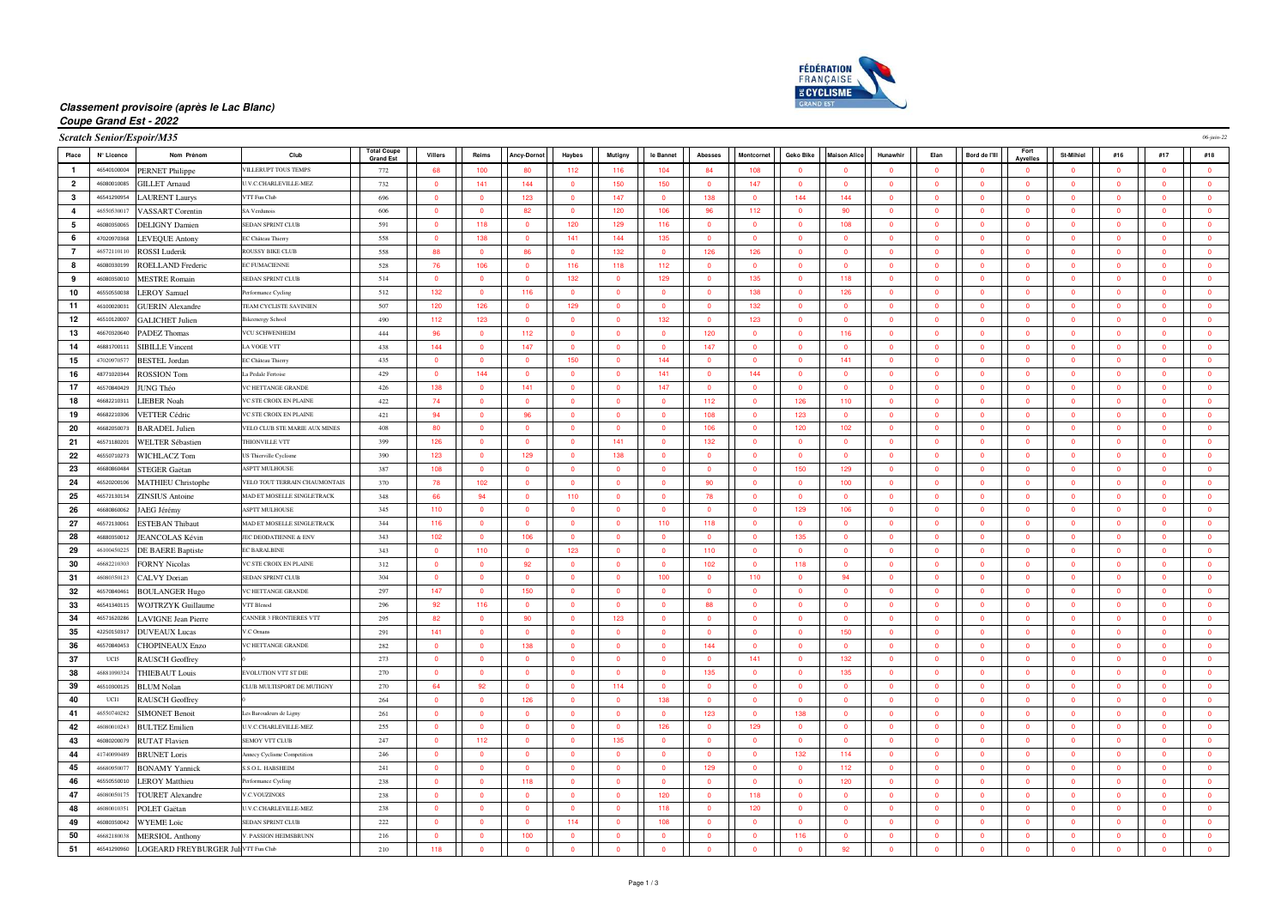

# **Classement provisoire (après le Lac Blanc)**

### **Coupe Grand Est - 2022**

| Serateb Sonior/Fenoir/M35 |  |  |
|---------------------------|--|--|
|                           |  |  |

| <b>Scratch Senior/Espoir/M35</b> |             |                                                 |                                |                                        |                         |                         |                         |                         |                         |                         |                         | 06-juin-22              |                          |                         |                |                         |                         |                         |                         |                         |                         |                         |
|----------------------------------|-------------|-------------------------------------------------|--------------------------------|----------------------------------------|-------------------------|-------------------------|-------------------------|-------------------------|-------------------------|-------------------------|-------------------------|-------------------------|--------------------------|-------------------------|----------------|-------------------------|-------------------------|-------------------------|-------------------------|-------------------------|-------------------------|-------------------------|
| Place                            | N° Licence  | Nom Prénom                                      | Club                           | <b>Total Coupe</b><br><b>Grand Est</b> | Villers                 | Reims                   | <b>Ancy-Dornot</b>      | Haybes                  | Mutigny                 | le Bannet               | Abesses                 | Montcornet              | Geko Bike                | <b>Maison Alice</b>     | Hunawhir       | Elan                    | Bord de l'Ill           | Fort<br>Avvelles        | St-Mihiel               | #16                     | #17                     | #18                     |
|                                  | 46540100004 | <b>PERNET Philippe</b>                          | VILLERUPT TOUS TEMPS           | 772                                    | 68                      | 100                     | 80                      | 112                     | 116                     | 104                     | 84                      | 108                     | $\overline{\mathbf{0}}$  | $\Omega$                | $\overline{0}$ | $\overline{\mathbf{0}}$ | $\Omega$                | $\overline{0}$          | $\overline{0}$          | $\Omega$                | $\bullet$               | $\overline{\mathbf{0}}$ |
| $\overline{2}$                   | 46080010085 | <b>GILLET Arnaud</b>                            | U.V.C.CHARLEVILLE-MEZ          | 732                                    | $\overline{\mathbf{0}}$ | 141                     | 144                     | $\overline{\mathbf{0}}$ | 150                     | 150                     | $\bullet$               | 147                     | $\overline{\mathbf{0}}$  | $\overline{\mathbf{0}}$ | $\overline{0}$ | $\overline{\mathbf{0}}$ | $\bullet$               | $\bullet$               | $\overline{\mathbf{0}}$ | $\Omega$                | $\overline{\mathbf{0}}$ | $\bullet$               |
| $\mathbf{3}$                     | 46541290954 | <b>LAURENT Laurys</b>                           | VTT Fun Club                   | 696                                    | $\overline{0}$          | $\bullet$               | 123                     | $\bullet$               | 147                     | $\overline{0}$          | 138                     | $\overline{0}$          | 144                      | 144                     | $\overline{0}$ | $\overline{\mathbf{0}}$ | $\overline{0}$          | $\overline{0}$          | $\bullet$               | $\Omega$                | $\mathbf{0}$            | $\bullet$               |
| $\overline{4}$                   | 46550530017 | <b>VASSART</b> Corentin                         | SA Verdunois                   | 606                                    | $\overline{0}$          | $\overline{0}$          | 82                      | $\mathbf{0}$            | 120                     | 106                     | 96                      | 112                     | $\overline{\mathbf{0}}$  | 90                      | $\overline{0}$ | $\mathbf{0}$            | $\overline{0}$          | $\overline{0}$          | $\mathbf{0}$            |                         | $\overline{0}$          | $\overline{\mathbf{0}}$ |
| 5                                | 46080350065 | <b>DELIGNY</b> Damien                           | SEDAN SPRINT CLUB              | 591                                    | $\overline{0}$          | 118                     | $\Omega$                | 120                     | 129                     | 116                     | $\Omega$                | $\Omega$                | $\overline{0}$           | 108                     | $\Omega$       | $\Omega$                | $\Omega$                | $\Omega$                | $\Omega$                | $\Omega$                | $\Omega$                | $\overline{0}$          |
| 6                                | 47020970368 | <b>LEVEQUE Antony</b>                           | EC Château Thierry             | 558                                    | $\overline{\mathbf{0}}$ | 138                     | $\mathbf{0}$            | 141                     | 144                     | 135                     | $\overline{\mathbf{0}}$ | $\overline{0}$          | $\overline{\mathbf{0}}$  | $\overline{\mathbf{0}}$ | $\overline{0}$ | $\overline{\mathbf{0}}$ | $\overline{0}$          | $\mathbf{0}$            | $\overline{\mathbf{0}}$ | $\overline{0}$          | $\bullet$               | $\overline{\mathbf{0}}$ |
| $\overline{7}$                   | 46572110110 | <b>ROSSI</b> Luderik                            | <b>ROUSSY BIKE CLUB</b>        | 558                                    | 88                      | $\overline{0}$          | 86                      | $\overline{0}$          | 132                     | $\mathbf 0$             | 126                     | 126                     | $\overline{\mathbf{0}}$  | $\overline{\mathbf{0}}$ | $\overline{0}$ | $\overline{0}$          | $\overline{0}$          | $\mathbf{0}$            | $\overline{\mathbf{0}}$ | $\overline{0}$          | $\overline{\mathbf{0}}$ | $\mathbf 0$             |
| 8                                | 46080330199 | ROELLAND Frederic                               | <b>EC FUMACIENNE</b>           | 528                                    | 76                      | 106                     | $\overline{0}$          | 116                     | 118                     | 112                     | $\overline{\mathbf{0}}$ | $\overline{0}$          | $\overline{\mathbf{0}}$  | $\overline{\mathbf{0}}$ | $\overline{0}$ | $\overline{\mathbf{0}}$ | $\overline{0}$          | $\overline{0}$          | $\overline{\mathbf{0}}$ | $\Omega$                | $\overline{0}$          | $\overline{\mathbf{0}}$ |
| 9                                | 46080350010 | <b>MESTRE Romain</b>                            | SEDAN SPRINT CLUE              | 514                                    | $\overline{\mathbf{0}}$ | $\bullet$               | $\mathbf{0}$            | 132                     | $\overline{\mathbf{0}}$ | 129                     | $\overline{\mathbf{0}}$ | 135                     | $\overline{\mathbf{0}}$  | 118                     | $\mathbf 0$    | $\overline{\mathbf{0}}$ | $\overline{\mathbf{0}}$ | $\mathbf{0}$            | $\overline{\mathbf{0}}$ | $\overline{\mathbf{0}}$ | $\overline{\mathbf{0}}$ | $\overline{\mathbf{0}}$ |
| 10                               | 46550550038 | <b>LEROY Samuel</b>                             | Performance Cycling            | 512                                    | 132                     | $\Omega$                | 116                     | $\Omega$                | $\Omega$                | $\Omega$                | $\Omega$                | 138                     | $\overline{0}$           | 126                     | $\Omega$       | $\overline{0}$          | $\Omega$                | $\Omega$                | $\Omega$                | $\Omega$                | $\Omega$                | $\overline{0}$          |
| 11                               | 46100020031 | <b>GUERIN</b> Alexandre                         | TEAM CYCLISTE SAVINIEN         | 507                                    | 120                     | 126                     | $\mathbf{0}$            | 129                     | $\overline{0}$          | $\overline{0}$          | $\overline{\mathbf{0}}$ | 132                     | $\overline{\mathbf{0}}$  | $\overline{\mathbf{0}}$ | $\overline{0}$ | $\overline{\mathbf{0}}$ | $\overline{0}$          | $\mathbf{0}$            | $\overline{\mathbf{0}}$ | $\overline{0}$          | $\bullet$               | $\bullet$               |
| 12                               | 46510120007 | <b>GALICHET Julien</b>                          | <b>Bikeenergy Schoo</b>        | 490                                    | 112                     | 123                     | $\overline{\mathbf{0}}$ | $\Omega$                | $\Omega$                | 132                     | $\overline{0}$          | 123                     | $\overline{\mathbf{0}}$  | $\overline{0}$          | $\Omega$       | $\overline{0}$          | $\overline{0}$          | $\overline{0}$          | $\Omega$                | $\Omega$                | $\mathbf{0}$            | $\overline{\mathbf{0}}$ |
| 13                               | 46670320640 | PADEZ Thomas                                    | VCU SCHWENHEIM                 | 444                                    | 96                      | $\bullet$               | 112                     | $\overline{0}$          | $\Omega$                | $\overline{0}$          | 120                     | $\mathbf{0}$            | $\overline{\mathbf{0}}$  | 116                     | $\overline{0}$ | $\overline{\mathbf{0}}$ | $\bullet$               | $\overline{0}$          | $\overline{0}$          | $\Omega$                | $\mathbf{0}$            | $\overline{\mathbf{0}}$ |
| 14                               | 46881700111 | <b>SIBILLE Vincent</b>                          | LA VOGE VTT                    | 438                                    | 144                     | $\overline{0}$          | 147                     | $\overline{\mathbf{0}}$ | $\overline{0}$          | $\overline{0}$          | 147                     | $\mathbf{0}$            | $\overline{\phantom{0}}$ | $\overline{\mathbf{0}}$ | $\overline{0}$ | $\mathbf{0}$            | $\overline{0}$          | $\overline{0}$          | $\overline{\mathbf{0}}$ | $\overline{0}$          | $\mathbf{0}$            | $\overline{\mathbf{0}}$ |
| 15                               | 47020970577 | <b>BESTEL Jordan</b>                            | EC Château Thierry             | 435                                    | $\overline{0}$          | $\Omega$                | $\Omega$                | 150                     | $\Omega$                | 144                     | $\Omega$                | $\Omega$                | $\overline{0}$           | 141                     | $\Omega$       | $\Omega$                | $\Omega$                | $\Omega$                | $\Omega$                | $\Omega$                | $\Omega$                | $\overline{0}$          |
| 16                               | 48771020344 | <b>ROSSION Tom</b>                              | La Pedale Fertois              | 429                                    | $\overline{0}$          | 144                     | $\overline{0}$          | $\overline{\mathbf{0}}$ | $\overline{0}$          | 141                     | $\overline{0}$          | 144                     | $\overline{\mathbf{0}}$  | $\overline{0}$          | $\overline{0}$ | $\overline{\mathbf{0}}$ | $\overline{0}$          | $\overline{0}$          | $\overline{\mathbf{0}}$ | $\overline{0}$          | $\overline{\mathbf{0}}$ | $\overline{\mathbf{0}}$ |
| 17                               | 46570840429 | JUNG Théo                                       | <b>VC HETTANGE GRANDE</b>      | 426                                    | 138                     | $\overline{\mathbf{0}}$ | 141                     | $\overline{0}$          | $\overline{0}$          | 147                     | $\overline{\mathbf{0}}$ | $\overline{\mathbf{0}}$ | $\bullet$                | $\bullet$               | $\overline{0}$ | $\overline{\mathbf{0}}$ | $\bullet$               | $\mathbf{0}$            | $\overline{0}$          | $\overline{0}$          | $\overline{\mathbf{0}}$ | $\mathbf 0$             |
| 18                               | 46682210311 | <b>LIEBER Noah</b>                              | VC STE CROIX EN PLAINE         | 422                                    | 74                      | $\overline{0}$          | $\overline{0}$          | $\bullet$               | $\Omega$                | $\overline{0}$          | 112                     | $\overline{0}$          | 126                      | 110                     | $\overline{0}$ | $\overline{\mathbf{0}}$ | $\overline{0}$          | $\mathbf{0}$            | $\overline{0}$          | $\Omega$                | $\overline{0}$          | $\overline{\mathbf{0}}$ |
| 19                               | 46682210306 | <b>VETTER Cédric</b>                            | VC STE CROIX EN PLAINE         | 421                                    | 94                      | $\overline{0}$          | 96                      | $\overline{\mathbf{0}}$ | $\overline{0}$          | $\overline{0}$          | 108                     | $\mathbf{0}$            | 123                      | $\overline{\mathbf{0}}$ | $\overline{0}$ | $\mathbf{0}$            | $\overline{0}$          | $\overline{0}$          | $\overline{\mathbf{0}}$ | $\Omega$                | $\mathbf{0}$            | $\overline{\mathbf{0}}$ |
| 20                               | 46682050073 | <b>BARADEL Julien</b>                           | VELO CLUB STE MARIE AUX MINES  | 408                                    | 80                      | $\Omega$                | $\Omega$                | $\Omega$                | $\Omega$                | $\Omega$                | 106                     | $\Omega$                | 120                      | 102                     | $\Omega$       | $\overline{0}$          | $\Omega$                | $\Omega$                | $\Omega$                | $\Omega$                | $\Omega$                | $\overline{\mathbf{0}}$ |
| 21                               | 46571180201 | <b>WELTER Sébastien</b>                         | THIONVILLE VTT                 | 399                                    | 126                     | $\bullet$               | $\overline{0}$          | $\overline{\mathbf{0}}$ | 141                     | $\overline{0}$          | 132                     | $\overline{0}$          | $\overline{\mathbf{0}}$  | $\overline{\mathbf{0}}$ | $\overline{0}$ | $\overline{\mathbf{0}}$ | $\overline{0}$          | $\overline{0}$          | $\overline{\mathbf{0}}$ | $\overline{0}$          | $\bullet$               | $\overline{\mathbf{0}}$ |
| 22                               | 46550710273 | <b>WICHLACZ Tom</b>                             | US Thierville Cyclism          | 390                                    | 123                     | $\overline{0}$          | 129                     | $\overline{\mathbf{0}}$ | 138                     | $\overline{0}$          | $\overline{0}$          | $\overline{0}$          | $\overline{\mathbf{0}}$  | $\overline{\mathbf{0}}$ | $\overline{0}$ | $\mathbf{0}$            | $\overline{0}$          | $\overline{\mathbf{0}}$ | $\overline{\mathbf{0}}$ | $\Omega$                | $\mathbf 0$             | $\overline{\mathbf{0}}$ |
| 23                               | 46680860484 | STEGER Gaëtan                                   | ASPTT MULHOUSE                 | 387                                    | 108                     | $\bullet$               | $\overline{0}$          | $\overline{0}$          | $\sqrt{2}$              | $\overline{0}$          | $\overline{\mathbf{0}}$ | $\overline{0}$          | 150                      | 129                     | $\overline{0}$ | $\overline{\mathbf{0}}$ | $\overline{0}$          | $\overline{0}$          | $\overline{0}$          | $\sqrt{2}$              | $\mathbf{0}$            | $\bullet$               |
| 24                               | 46520200106 | <b>MATHIEU Christophe</b>                       | VELO TOUT TERRAIN CHAUMONTAIS  | 370                                    | 78                      | 102                     | $\mathbf{0}$            | $\overline{0}$          | $\overline{0}$          | $\overline{0}$          | 90                      | $\mathbf{0}$            | $\overline{\mathbf{0}}$  | 100                     | $\mathbf{0}$   | $\overline{\mathbf{0}}$ | $\overline{0}$          | $\mathbf{0}$            | $\overline{0}$          | $\overline{0}$          | $\mathbf{0}$            | $\overline{\mathbf{0}}$ |
| 25                               | 46572130134 | <b>ZINSIUS</b> Antoine                          | MAD ET MOSELLE SINGLETRACK     | 348                                    | 66                      | 94                      | $\Omega$                | 110                     | $\Omega$                | $\Omega$                | 78                      | $\Omega$                | $\overline{0}$           | $\overline{0}$          | $\Omega$       | $\Omega$                | $\Omega$                | $\Omega$                | $\Omega$                | $\Omega$                | $\Omega$                | $\overline{0}$          |
| 26                               | 46680860062 | JAEG Jérémy                                     | <b>ASPTT MULHOUSE</b>          | 345                                    | 110                     | $\Omega$                | $\overline{0}$          | $\overline{0}$          | $\Omega$                | $\overline{0}$          | $\overline{0}$          | $\overline{0}$          | 129                      | 106                     | $\Omega$       | $\overline{\mathbf{0}}$ | $\overline{0}$          | $\overline{0}$          | $\overline{0}$          | $\Omega$                | $\overline{0}$          | $\bullet$               |
| 27                               | 46572130061 | <b>ESTEBAN Thibaut</b>                          | MAD ET MOSELLE SINGLETRACK     | 344                                    | 116                     | $\overline{\mathbf{0}}$ | $\overline{\mathbf{0}}$ | $\bullet$               | $\overline{0}$          | 110                     | 118                     | $\overline{0}$          | $\overline{\mathbf{0}}$  | $\overline{0}$          | $\overline{0}$ | $\overline{\mathbf{0}}$ | $\bullet$               | $\mathbf{0}$            | $\overline{0}$          | $\overline{0}$          | $\overline{\mathbf{0}}$ | $\bullet$               |
| 28                               | 46880350012 | JEANCOLAS Kévin                                 | JEC DEODATIENNE & ENV          | 343                                    | 102                     | $\overline{0}$          | 106                     | $\bullet$               | $\Omega$                | $\overline{0}$          | $\overline{\mathbf{0}}$ | $\overline{0}$          | 135                      | $\overline{\mathbf{0}}$ | $\overline{0}$ | $\overline{\mathbf{0}}$ | $\overline{0}$          | $\overline{0}$          | $\bullet$               | $\Omega$                | $\mathbf{0}$            | $\overline{\mathbf{0}}$ |
| 29                               | 46100450225 | <b>DE BAERE Baptiste</b>                        | <b>EC BARALBINE</b>            | 343                                    | $\mathbf{0}$            | 110                     | $\overline{0}$          | 123                     | $\overline{0}$          | $\overline{0}$          | 110                     | $\mathbf{0}$            | $\overline{\mathbf{0}}$  | $\overline{\mathbf{0}}$ | $\overline{0}$ | $\mathbf{0}$            | $\overline{0}$          | $\overline{0}$          | $\mathbf{0}$            | $\Omega$                | $\mathbf{0}$            | $\overline{\mathbf{0}}$ |
| 30                               | 46682210303 | <b>FORNY Nicolas</b>                            | VC STE CROIX EN PLAINE         | 312                                    | $\overline{\mathbf{0}}$ | $\bullet$               | 92                      | $\Omega$                | $\sqrt{2}$              | $\Omega$                | 102                     | $\Omega$                | 118                      | $\overline{\mathbf{0}}$ | $\Omega$       | $\overline{\mathbf{0}}$ | $\overline{0}$          | $\Omega$                | $\Omega$                | $\sqrt{2}$              | $\Omega$                | $\overline{\mathbf{0}}$ |
| 31                               | 46080350123 | <b>CALVY Dorian</b>                             | SEDAN SPRINT CLUB              | 304                                    | $\overline{\mathbf{0}}$ | $\bullet$               | $\mathbf{0}$            | $\bullet$               | $\overline{0}$          | 100                     | $\overline{\mathbf{0}}$ | 110                     | $\overline{\mathbf{0}}$  | 94                      | $\overline{0}$ | $\overline{\mathbf{0}}$ | $\overline{0}$          | $\overline{0}$          | $\bullet$               | $\overline{0}$          | $\bullet$               | $\bullet$               |
| 32                               | 46570840461 | <b>BOULANGER Hugo</b>                           | VC HETTANGE GRANDE             | 297                                    | 147                     | $\overline{\mathbf{0}}$ | 150                     | $\mathbf{0}$            | $\Omega$                | $\overline{0}$          | $\overline{0}$          | $\overline{0}$          | $\overline{\mathbf{0}}$  | $\overline{0}$          | $\Omega$       | $\overline{0}$          | $\overline{0}$          | $\overline{0}$          | $\Omega$                | $\Omega$                | $\overline{0}$          | $\overline{\mathbf{0}}$ |
| 33                               | 46541340115 | <b>WOJTRZYK Guillaume</b>                       | <b>VTT Blenod</b>              | 296                                    | 92                      | 116                     | $\overline{0}$          | $\bullet$               | $\Omega$                | $\overline{0}$          | 88                      | $\overline{0}$          | $\overline{\mathbf{0}}$  | $\overline{\mathbf{0}}$ | $\overline{0}$ | $\overline{\mathbf{0}}$ | $\overline{0}$          | $\overline{0}$          | $\Omega$                | $\Omega$                | $\mathbf{0}$            | $\overline{\mathbf{0}}$ |
| 34                               | 46571620286 | <b>AVIGNE</b> Jean Pierre                       | <b>CANNER 3 FRONTIERES VTT</b> | 295                                    | 82                      | $\overline{\mathbf{0}}$ | 90                      | $\overline{\mathbf{0}}$ | 123                     | $\overline{\mathbf{0}}$ | $\overline{\mathbf{0}}$ | $\mathbf{0}$            | $\overline{\phantom{0}}$ | $\overline{\mathbf{0}}$ | $\overline{0}$ | $\overline{\mathbf{0}}$ | $\overline{0}$          | $\overline{0}$          | $\overline{\mathbf{0}}$ | $\overline{0}$          | $\overline{\mathbf{0}}$ | $\overline{\mathbf{0}}$ |
| 35                               | 42250150317 | <b>DUVEAUX Lucas</b>                            | V.C Omans                      | 291                                    | 141                     | $\Omega$                | $\Omega$                | $\Omega$                | $\Omega$                | $\Omega$                | $\Omega$                | $\Omega$                | $\overline{0}$           | 150                     | $\Omega$       | $\overline{0}$          | $\Omega$                | $\Omega$                | $\Omega$                | $\Omega$                | $\Omega$                | $\overline{0}$          |
| 36                               | 46570840453 | <b>CHOPINEAUX Enzo</b>                          | <b>VC HETTANGE GRANDE</b>      | 282                                    | $\overline{\mathbf{0}}$ | $\overline{0}$          | 138                     | $\overline{\mathbf{0}}$ | $\overline{0}$          | $\mathbf{0}$            | 144                     | $\overline{0}$          | $\overline{\mathbf{0}}$  | $\overline{\mathbf{0}}$ | $\overline{0}$ | $\overline{\mathbf{0}}$ | $\overline{0}$          | $\overline{0}$          | $\overline{\mathbf{0}}$ | $\overline{0}$          | $\bullet$               | $\bullet$               |
| 37                               | UCI5        | <b>RAUSCH Geoffrey</b>                          |                                | 273                                    | $\overline{\mathbf{0}}$ | $\overline{\mathbf{0}}$ | $\bullet$               | $\bullet$               | $\overline{0}$          | $\mathbf 0$             | $\overline{\mathbf{0}}$ | 141                     | $\overline{\mathbf{0}}$  | 132                     | $\overline{0}$ | $\overline{\mathbf{0}}$ | $\overline{0}$          | $\bullet$               | $\overline{0}$          | $\overline{0}$          | $\overline{\mathbf{0}}$ | $\bullet$               |
| 38                               | 46881090324 | <b>THIEBAUT Louis</b>                           | EVOLUTION VTT ST DIE           | 270                                    | $\overline{0}$          | $\bullet$               | $\overline{0}$          | $\bullet$               | $\bullet$               | $\overline{0}$          | 135                     | $\overline{0}$          | $\overline{\mathbf{0}}$  | 135                     | $\overline{0}$ | $\overline{\mathbf{0}}$ | $\overline{0}$          | $\overline{0}$          | $\bullet$               | $\Omega$                | $\mathbf{0}$            | $\bullet$               |
| 39                               | 46510300125 | <b>BLUM</b> Nolan                               | CLUB MULTISPORT DE MUTIGNY     | 270                                    | 64                      | 92                      | $\overline{0}$          | $\mathbf{0}$            | 114                     | $\overline{0}$          | $\overline{0}$          | $\overline{0}$          | $\overline{\mathbf{0}}$  | $\overline{\mathbf{0}}$ | $\overline{0}$ | $\mathbf{0}$            | $\overline{0}$          | $\overline{0}$          | $\mathbf{0}$            | $\overline{0}$          | $\overline{0}$          | $\overline{\mathbf{0}}$ |
| 40                               | <b>TICH</b> | RAUSCH Geoffrey                                 |                                | 264                                    | $\overline{0}$          | $\overline{0}$          | 126                     | $\Omega$                | $\Omega$                | 138                     | $\Omega$                | $\Omega$                | $\overline{0}$           | $\overline{0}$          | $\Omega$       | $\overline{0}$          | $\overline{0}$          | $\Omega$                | $\Omega$                | $\Omega$                | $\Omega$                | $\overline{0}$          |
| 41                               | 46550740282 | <b>SIMONET Benoit</b>                           | Les Baroudeurs de Ligny        | 261                                    | $\overline{\mathbf{0}}$ | $\bullet$               | $\mathbf{0}$            | $\bullet$               | $\overline{0}$          | $\overline{0}$          | 123                     | $\bullet$               | 138                      | $\overline{\mathbf{0}}$ | $\overline{0}$ | $\overline{\mathbf{0}}$ | $\overline{0}$          | $\mathbf{0}$            | $\bullet$               | $\overline{0}$          | $\bullet$               | $\bullet$               |
| 42                               | 46080010243 | <b>BULTEZ Emilien</b>                           | U.V.C.CHARLEVILLE-MEZ          | 255                                    | $\overline{\mathbf{0}}$ | $\overline{\mathbf{0}}$ | $\overline{\mathbf{0}}$ | $\mathbf{0}$            | $\Omega$                | 126                     | $\overline{0}$          | 129                     | $\overline{\mathbf{0}}$  | $\overline{0}$          | $\overline{0}$ | $\overline{0}$          | $\overline{0}$          | $\overline{\mathbf{0}}$ | $\mathbf{0}$            | $\Omega$                | $\mathbf{0}$            | $\mathbf 0$             |
| 43                               | 46080200079 | <b>RUTAT Flavien</b>                            | <b>SEMOY VTT CLUB</b>          | 247                                    | $\overline{0}$          | 112                     | $\overline{0}$          | $\bullet$               | 135                     | $\overline{0}$          | $\overline{\mathbf{0}}$ | $\overline{0}$          | $\overline{\mathbf{0}}$  | $\overline{\mathbf{0}}$ | $\overline{0}$ | $\overline{\mathbf{0}}$ | $\overline{0}$          | $\overline{0}$          | $\overline{0}$          | $\Omega$                | $\mathbf{0}$            | $\overline{\mathbf{0}}$ |
| 44                               | 41740090489 | <b>BRUNET Loris</b>                             | Annecy Cyclisme Competition    | 246                                    | $\overline{\mathbf{0}}$ | $\overline{\mathbf{0}}$ | $\mathbf{0}$            | $\overline{\mathbf{0}}$ | $\mathbf{0}$            | $\overline{\mathbf{0}}$ | $\overline{\mathbf{0}}$ | $\mathbf 0$             | 132                      | 114                     | $\mathbf 0$    | $\overline{\mathbf{0}}$ | $\overline{\mathbf{0}}$ | $\mathbf{0}$            | $\overline{\mathbf{0}}$ | $\overline{0}$          | $\overline{\mathbf{0}}$ | $\overline{\mathbf{0}}$ |
| 45                               | 46680950077 | <b>BONAMY Yannick</b>                           | S.S.O.L. HABSHEIM              | 241                                    | $\Omega$                | $\Omega$                | $\Omega$                | $\Omega$                | $\Omega$                | $\Omega$                | 129                     | $\Omega$                | $\overline{0}$           | 112                     | $\Omega$       | $\overline{0}$          | $\Omega$                | $\Omega$                | $\Omega$                | $\Omega$                | $\Omega$                | $\overline{0}$          |
| 46                               | 46550550010 | <b>LEROY Matthieu</b>                           | Performance Cycling            | 238                                    | $\overline{\mathbf{0}}$ | $\overline{0}$          | 118                     | $\overline{\mathbf{0}}$ | $\overline{0}$          | $\mathbf{0}$            | $\overline{\mathbf{0}}$ | $\overline{0}$          | $\overline{\mathbf{0}}$  | 120                     | $\overline{0}$ | $\overline{\mathbf{0}}$ | $\overline{0}$          | $\overline{0}$          | $\overline{\mathbf{0}}$ | $\overline{0}$          | $\bullet$               | $\bullet$               |
| 47                               | 46080050175 | <b>TOURET Alexandre</b>                         | V C VOLIZINOIS                 | 238                                    | $\mathbf{0}$            | $\overline{0}$          | $\overline{0}$          | $\Omega$                | $\Omega$                | 120                     | $\overline{0}$          | 118                     | $\overline{\mathbf{0}}$  | $\overline{0}$          | $\Omega$       | $\mathbf{0}$            | $\overline{0}$          | $\overline{0}$          | $\Omega$                | $\Omega$                | $\mathbf{0}$            | $\bullet$               |
| 48                               | 46080010351 | POLET Gaëtan                                    | J.V.C.CHARLEVILLE-MEZ          | 238                                    | $\overline{0}$          | $\bullet$               | $\overline{0}$          | $\overline{0}$          | $\Omega$                | 118                     | $\overline{\mathbf{0}}$ | 120                     | $\overline{0}$           | $\overline{\mathbf{0}}$ | $\mathbf{0}$   | $\mathbf{0}$            | $\overline{0}$          | $\overline{0}$          | $\overline{0}$          | $\Omega$                | $\overline{0}$          | $\overline{\mathbf{0}}$ |
| 49                               | 46080350042 | <b>WYEME</b> Loïc                               | SEDAN SPRINT CLUE              | 222                                    | $\mathbf{0}$            | $\overline{0}$          | $\overline{0}$          | 114                     | $\Omega$                | 108                     | $\overline{\mathbf{0}}$ | $\Omega$                | $\overline{\mathbf{0}}$  | $\overline{0}$          | $\mathbf{0}$   | $\mathbf{0}$            | $\overline{0}$          | $\overline{0}$          | $\overline{0}$          | $\Omega$                | $\overline{0}$          | $\overline{\mathbf{0}}$ |
| 50                               | 46682180038 | <b>MERSIOL Anthony</b>                          | V. PASSION HEIMSBRUNN          | 216                                    | $\overline{0}$          | $\overline{0}$          | 100                     | $\Omega$                | $\Omega$                | $\Omega$                | $\Omega$                | $\Omega$                | 116                      | $\Omega$                | $\Omega$       | $\overline{0}$          | $\overline{0}$          | $\Omega$                | $\Omega$                | $\Omega$                | $\Omega$                | $\overline{0}$          |
| 51                               |             | 46541290960 LOGEARD FREYBURGER JuliVTT Fun Club |                                | 210                                    | 118                     | $\overline{0}$          | $\overline{0}$          | $\mathbf{0}$            | $\overline{0}$          | $\overline{0}$          | $\mathbf{0}$            | $\mathbf{0}$            | $\overline{0}$           | 92                      | $\mathbf{0}$   | $\overline{0}$          | $\overline{0}$          | $\overline{0}$          | $\mathbf{0}$            | $\overline{0}$          | $\mathbf{0}$            | $\overline{\mathbf{0}}$ |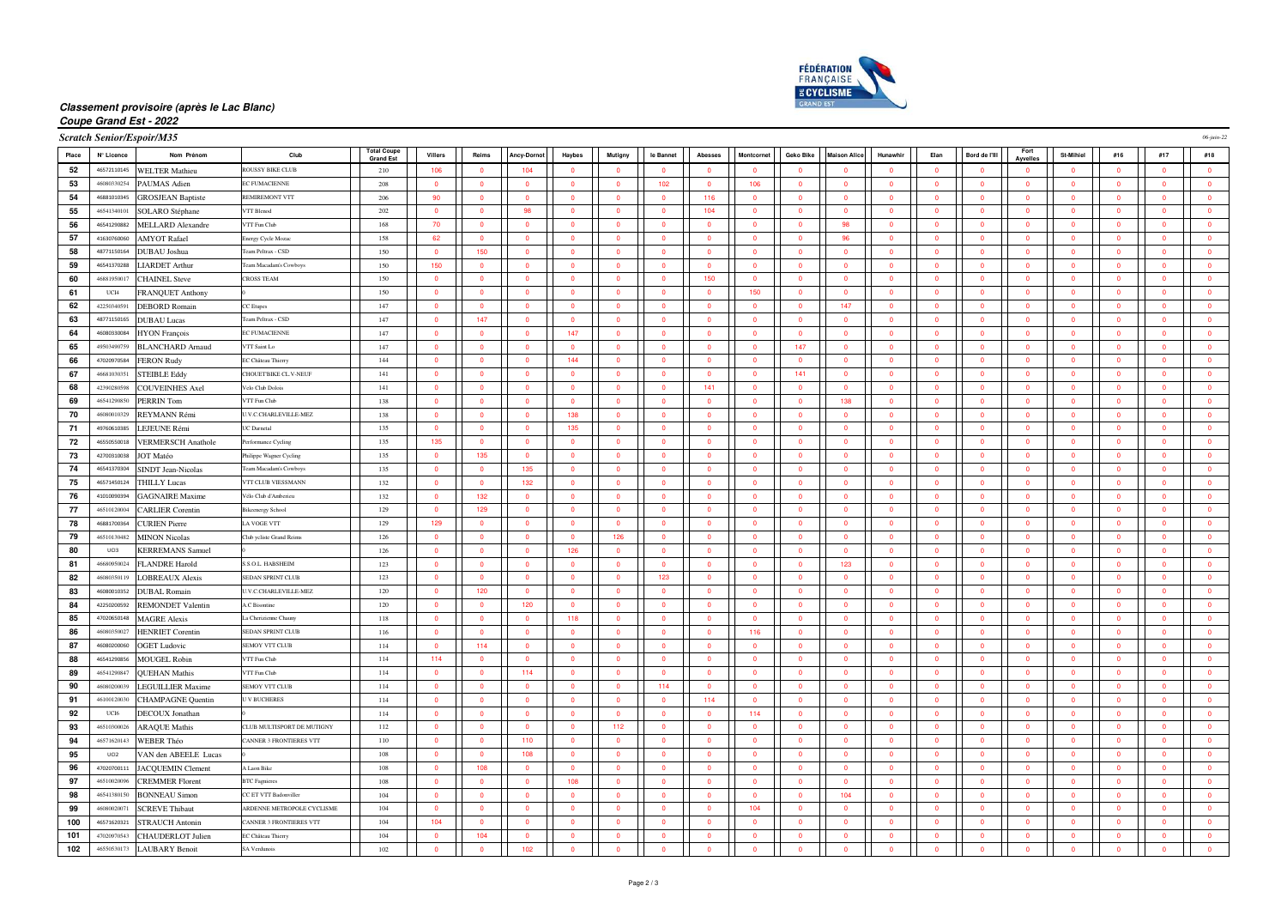

## **Classement provisoire (après le Lac Blanc)**

#### **Coupe Grand Est - 2022**

|  | <b>Coratob Conjor/Fenoir/M25</b> |  |
|--|----------------------------------|--|
|  |                                  |  |

|       | <b>Scratch Senior/Espoir/M35</b> |                            |                                |                                        |                         |                         |                    |                         |                         |                         |                         |                         |                          |                         |                |                         |                         |                         |                         |                         |                         | 06-juin-22              |
|-------|----------------------------------|----------------------------|--------------------------------|----------------------------------------|-------------------------|-------------------------|--------------------|-------------------------|-------------------------|-------------------------|-------------------------|-------------------------|--------------------------|-------------------------|----------------|-------------------------|-------------------------|-------------------------|-------------------------|-------------------------|-------------------------|-------------------------|
| Place | N° Licence                       | Nom Prénom                 | Club                           | <b>Total Coupe</b><br><b>Grand Est</b> | Villers                 | Reims                   | <b>Ancy-Dornot</b> | Haybes                  | Mutigny                 | le Bannet               | Abesses                 | Montcornet              | Geko Bike                | <b>Maison Alice</b>     | Hunawhir       | Elan                    | Bord de l'Ill           | Fort<br><b>Avvelles</b> | St-Mihiel               | #16                     | #17                     | #18                     |
| 52    | 46572110145                      | <b>WELTER Mathieu</b>      | <b>ROUSSY BIKE CLUB</b>        | 210                                    | 106                     | $\Omega$                | 104                | $\Omega$                | $\Omega$                | $\mathbf{0}$            | $\overline{\mathbf{0}}$ | $\Omega$                | $\overline{\mathbf{0}}$  | $\Omega$                | $\Omega$       | $\overline{\mathbf{0}}$ | $\Omega$                | $\overline{0}$          | $\overline{0}$          | $\Omega$                | $\bullet$               | $\bullet$               |
| 53    | 46080330254                      | PAUMAS Adien               | <b>EC FUMACIENNE</b>           | 208                                    | $\overline{\mathbf{0}}$ | $\overline{\mathbf{0}}$ | $\bullet$          | $\overline{\mathbf{0}}$ | $\overline{0}$          | 102                     | $\overline{\mathbf{0}}$ | 106                     | $\bullet$                | $\overline{\mathbf{0}}$ | $\overline{0}$ | $\overline{\mathbf{0}}$ | $\bullet$               | $\overline{0}$          | $\overline{\mathbf{0}}$ | $\overline{0}$          | $\mathbf 0$             | $\mathbf 0$             |
| 54    | 46881010345                      | <b>GROSJEAN Baptiste</b>   | REMIREMONT VTT                 | 206                                    | 90                      | $\bullet$               | $\overline{0}$     | $\bullet$               | $\bullet$               | $\overline{0}$          | 116                     | $\overline{0}$          | $\overline{\mathbf{0}}$  | $\bullet$               | $\overline{0}$ | $\overline{\mathbf{0}}$ | $\overline{0}$          | $\overline{0}$          | $\bullet$               | $\Omega$                | $\mathbf{0}$            | $\bullet$               |
| 55    | 46541340101                      | <b>SOLARO</b> Stéphane     | <b>VTT Blenod</b>              | 202                                    | $\mathbf{0}$            | $\overline{0}$          | 98                 | $\overline{0}$          | $\mathbf{0}$            | $\overline{0}$          | 104                     | $\mathbf{0}$            | $\overline{\mathbf{0}}$  | $\overline{\mathbf{0}}$ | $\overline{0}$ | $\mathbf{0}$            | $\overline{0}$          | $\overline{0}$          | $\mathbf{0}$            | $\overline{0}$          | $\mathbf{0}$            | $\overline{\mathbf{0}}$ |
| 56    | 46541290882                      | <b>MELLARD Alexandre</b>   | VTT Fun Club                   | 168                                    | 70                      | $\bullet$               | $\overline{0}$     | $\bullet$               | $\overline{0}$          | $\overline{0}$          | $\overline{\mathbf{0}}$ | $\overline{0}$          | $\overline{\mathbf{0}}$  | 98                      | $\overline{0}$ | $\overline{\mathbf{0}}$ | $\overline{0}$          | $\overline{0}$          | $\overline{0}$          | $\sqrt{2}$              | $\mathbf{0}$            | $\overline{\mathbf{0}}$ |
| 57    | 41630760060                      | <b>AMYOT Rafael</b>        | Energy Cycle Mozac             | 158                                    | 62                      | $\bullet$               | $\mathbf{0}$       | $\bullet$               | $\overline{0}$          | $\overline{0}$          | $\overline{\mathbf{0}}$ | $\overline{0}$          | $\bullet$                | 96                      | $\overline{0}$ | $\overline{\mathbf{0}}$ | $\overline{0}$          | $\overline{0}$          | $\bullet$               | $\overline{0}$          | $\bullet$               | $\bullet$               |
| 58    | 48771150164                      | DUBAU Joshua               | Team Peltrax - CSD             | 150                                    | $\overline{\mathbf{0}}$ | 150                     | $\overline{0}$     | $\Omega$                | $\Omega$                | $\mathbf{0}$            | $\overline{\mathbf{0}}$ | $\overline{0}$          | $\overline{\mathbf{0}}$  | $\overline{0}$          | $\Omega$       | $\overline{\mathbf{0}}$ | $\overline{\mathbf{0}}$ | $\overline{0}$          | $\Omega$                | $\Omega$                | $\overline{0}$          | $\mathbf 0$             |
| 59    | 46541370288                      | <b>LIARDET Arthur</b>      | Team Macadam's Cowboys         | 150                                    | 150                     | $\bullet$               | $\mathbf{0}$       | $\overline{0}$          | $\overline{0}$          | $\overline{0}$          | $\overline{\mathbf{0}}$ | $\bullet$               | $\overline{\mathbf{0}}$  | $\mathbf 0$             | $\overline{0}$ | $\overline{\mathbf{0}}$ | $\overline{0}$          | $\mathbf{0}$            | $\overline{0}$          | $\overline{0}$          | $\mathbf{0}$            | $\overline{\mathbf{0}}$ |
| 60    | 4688195001                       | <b>CHAINEL Steve</b>       | <b>CROSS TEAM</b>              | 150                                    | $\overline{\mathbf{0}}$ | $\bullet$               | $\mathbf{0}$       | $\overline{0}$          | $\overline{0}$          | $\overline{0}$          | 150                     | $\mathbf{0}$            | $\overline{\phantom{0}}$ | $\overline{\mathbf{0}}$ | $\overline{0}$ | $\overline{\mathbf{0}}$ | $\overline{0}$          | $\mathbf{0}$            | $\overline{0}$          | $\Omega$                | $\mathbf{0}$            | $\mathbf 0$             |
| 61    | UCI4                             | <b>FRANQUET Anthony</b>    |                                | 150                                    | $\overline{0}$          | $\overline{0}$          | $\Omega$           | $\Omega$                | $\Omega$                | $\Omega$                | $\overline{0}$          | 150                     | $\overline{0}$           | $\overline{0}$          | $\overline{0}$ | $\overline{0}$          | $\overline{0}$          | $\overline{0}$          | $\Omega$                | $\Omega$                | $\Omega$                | $\overline{0}$          |
| 62    | 42250340591                      | DEBORD Romain              | CC Etupes                      | 147                                    | $\overline{\mathbf{0}}$ | $\bullet$               | $\mathbf{0}$       | $\overline{\mathbf{0}}$ | $\overline{0}$          | $\overline{\mathbf{0}}$ | $\overline{\mathbf{0}}$ | $\overline{0}$          | $\overline{\mathbf{0}}$  | 147                     | $\mathbf{0}$   | $\overline{\mathbf{0}}$ | $\overline{\mathbf{0}}$ | $\mathbf{0}$            | $\overline{\mathbf{0}}$ | $\overline{\mathbf{0}}$ | $\bullet$               | $\bullet$               |
| 63    | 48771150165                      | <b>DUBAU</b> Lucas         | Team Peltrax - CSD             | 147                                    | $\overline{0}$          | 147                     | $\overline{0}$     | $\Omega$                | $\Omega$                | $\Omega$                | $\overline{0}$          | $\overline{0}$          | $\overline{\mathbf{0}}$  | $\overline{0}$          | $\Omega$       | $\Omega$                | $\overline{0}$          | $\overline{0}$          | $\Omega$                | $\Omega$                | $\overline{0}$          | $\bullet$               |
| 64    | 46080330084                      | <b>HYON</b> François       | <b>EC FUMACIENNE</b>           | 147                                    | $\overline{\mathbf{0}}$ | $\Omega$                | $\overline{0}$     | 147                     | $\Omega$                | $\overline{0}$          | $\overline{\mathbf{0}}$ | $\overline{0}$          | $\overline{0}$           | $\overline{\mathbf{0}}$ | $\overline{0}$ | $\overline{0}$          | $\overline{0}$          | $\overline{0}$          | $\Omega$                | $\Omega$                | $\mathbf{0}$            | $\overline{\mathbf{0}}$ |
| 65    | 49503490759                      | <b>BLANCHARD Arnaud</b>    | VTT Saint Lo                   | 147                                    | $\overline{\mathbf{0}}$ | $\bullet$               | $\mathbf{0}$       | $\overline{0}$          | $\Omega$                | $\Omega$                | $\Omega$                | $\Omega$                | 147                      | $\Omega$                | $\Omega$       | $\overline{0}$          | $\overline{0}$          | $\mathbf{0}$            | $\overline{0}$          | $\Omega$                | $\Omega$                | $\mathbf 0$             |
| 66    | 47020970584                      | <b>FERON Rudy</b>          | EC Château Thierry             | 144                                    | $\overline{\mathbf{0}}$ | $\bullet$               | $\overline{0}$     | 144                     | $\overline{0}$          | $\overline{0}$          | $\overline{\mathbf{0}}$ | $\overline{0}$          | $\overline{\mathbf{0}}$  | $\overline{\mathbf{0}}$ | $\overline{0}$ | $\overline{\mathbf{0}}$ | $\overline{0}$          | $\overline{0}$          | $\bullet$               | $\Omega$                | $\mathbf{0}$            | $\overline{\mathbf{0}}$ |
| 67    | 46681030351                      | <b>STEIBLE Eddy</b>        | CHOUETBIKE CL.V-NEUF           | 141                                    | $\overline{\mathbf{0}}$ | $\overline{0}$          | $\overline{0}$     | $\mathbf{0}$            | $\overline{0}$          | $\mathbf{0}$            | $\overline{\mathbf{0}}$ | $\overline{0}$          | 141                      | $\overline{\mathbf{0}}$ | $\overline{0}$ | $\overline{\mathbf{0}}$ | $\overline{0}$          | $\overline{0}$          | $\overline{0}$          | $\overline{0}$          | $\overline{0}$          | $\overline{\mathbf{0}}$ |
| 68    | 42390280598                      | <b>COUVEINHES Axel</b>     | Velo Club Dolois               | 141                                    | $\Omega$                | $\overline{0}$          | $\Omega$           | $\Omega$                | $\Omega$                | $\Omega$                | 141                     | $\Omega$                | $\overline{0}$           | $\Omega$                | $\Omega$       | $\Omega$                | $\Omega$                | $\Omega$                | $\Omega$                | $\Omega$                | $\Omega$                | $\overline{\mathbf{0}}$ |
| 69    | 46541290850                      | PERRIN Tom                 | VTT Fun Club                   | 138                                    | $\overline{0}$          | $\bullet$               | $\mathbf{0}$       | $\overline{0}$          | $\overline{0}$          | $\overline{0}$          | $\overline{\mathbf{0}}$ | $\mathbf{0}$            | $\overline{0}$           | 138                     | $\overline{0}$ | $\overline{0}$          | $\overline{0}$          | $\mathbf{0}$            | $\overline{0}$          | $\overline{0}$          | $\overline{0}$          | $\overline{\mathbf{0}}$ |
| 70    | 46080010329                      | REYMANN Rémi               | U.V.C.CHARLEVILLE-MEZ          | 138                                    | $\overline{\mathbf{0}}$ | $\Omega$                | $\overline{0}$     | 138                     | $\Omega$                | $\Omega$                | $\Omega$                | $\Omega$                | $\overline{\mathbf{0}}$  | $\overline{\mathbf{0}}$ | $\Omega$       | $\overline{\mathbf{0}}$ | $\Omega$                | $\overline{0}$          | $\Omega$                | $\Omega$                | $\Omega$                | $\mathbf 0$             |
| 71    | 49760610385                      | LEJEUNE Rémi               | UC Darnetal                    | 135                                    | $\overline{0}$          | $\overline{0}$          | $\overline{0}$     | 135                     | $\Omega$                | $\Omega$                | $\overline{0}$          | $\overline{0}$          | $\overline{0}$           | $\overline{0}$          | $\overline{0}$ | $\overline{0}$          | $\overline{0}$          | $\overline{0}$          | $\Omega$                | $\sqrt{2}$              | $\Omega$                | $\overline{0}$          |
| 72    | 46550550018                      | <b>VERMERSCH</b> Anathole  | Performance Cycling            | 135                                    | 135                     | $\bullet$               | $\overline{0}$     | $\bullet$               | $\overline{\mathbf{0}}$ | $\mathbf 0$             | $\overline{\mathbf{0}}$ | $\overline{0}$          | $\overline{\mathbf{0}}$  | $\overline{\mathbf{0}}$ | $\mathbf{0}$   | $\overline{\mathbf{0}}$ | $\overline{\mathbf{0}}$ | $\overline{0}$          | $\bullet$               | $\mathbf{0}$            | $\bullet$               | $\overline{\mathbf{0}}$ |
| 73    | 42700310038                      | JOT Matéo                  | Philippe Wagner Cycling        | 135                                    | $\Omega$                | 135                     | $\Omega$           | $\Omega$                | $\Omega$                | $\Omega$                | $\Omega$                | $\Omega$                | $\overline{\mathbf{0}}$  | $\overline{0}$          | $\Omega$       | $\Omega$                | $\Omega$                | $\Omega$                | $\Omega$                | $\Omega$                | $\Omega$                | $\bullet$               |
| 74    | 46541370304                      | <b>SINDT Jean-Nicolas</b>  | Team Macadam's Cowboys         | 135                                    | $\overline{0}$          | $\Omega$                | 135                | $\Omega$                | $\Omega$                | $\Omega$                | $\Omega$                | $\Omega$                | $\overline{0}$           | $\overline{\mathbf{0}}$ | $\Omega$       | $\mathbf{0}$            | $\Omega$                | $\mathbf{0}$            | $\Omega$                | $\Omega$                | $\Omega$                | $\overline{\mathbf{0}}$ |
| 75    | 46571450124                      | <b>THILLY Lucas</b>        | VTT CLUB VIESSMANN             | 132                                    | $\overline{\mathbf{0}}$ | $\Omega$                | 132                | $\overline{\mathbf{0}}$ | $\Omega$                | $\overline{0}$          | $\overline{\mathbf{0}}$ | $\Omega$                | $\overline{\mathbf{0}}$  | $\overline{\mathbf{0}}$ | $\Omega$       | $\overline{\mathbf{0}}$ | $\overline{0}$          | $\overline{0}$          | $\overline{\mathbf{0}}$ | $\Omega$                | $\overline{0}$          | $\mathbf 0$             |
| 76    | 41010090394                      | <b>GAGNAIRE Maxime</b>     | Vélo Club d'Amberieu           | 132                                    | $\overline{\mathbf{0}}$ | 132                     | $\overline{0}$     | $\overline{0}$          | $\Omega$                | $\overline{0}$          | $\overline{\mathbf{0}}$ | $\overline{0}$          | $\overline{\mathbf{0}}$  | $\overline{\mathbf{0}}$ | $\overline{0}$ | $\overline{\mathbf{0}}$ | $\overline{0}$          | $\overline{0}$          | $\overline{0}$          | $\Omega$                | $\mathbf{0}$            | $\overline{\mathbf{0}}$ |
| 77    | 46510120004                      | <b>CARLIER Corentin</b>    | <b>Bikeenergy Schoo</b>        | 129                                    | $\overline{0}$          | 129                     | $\overline{0}$     | $\overline{0}$          | $\overline{0}$          | $\mathbf{0}$            | $\overline{\mathbf{0}}$ | $\overline{0}$          | $\overline{\mathbf{0}}$  | $\overline{\mathbf{0}}$ | $\overline{0}$ | $\overline{\mathbf{0}}$ | $\overline{0}$          | $\overline{0}$          | $\overline{0}$          | $\overline{0}$          | $\overline{0}$          | $\bullet$               |
| 78    | 46881700364                      | <b>CURIEN Pierre</b>       | LA VOGE VTT                    | 129                                    | 129                     | $\overline{0}$          | $\overline{0}$     | $\bullet$               | $\overline{0}$          | $\mathbf{0}$            | $\overline{0}$          | $\overline{0}$          | $\overline{\mathbf{0}}$  | $\overline{0}$          | $\overline{0}$ | $\overline{0}$          | $\overline{0}$          | $\overline{0}$          | $\overline{0}$          | $\overline{0}$          | $\mathbf{0}$            | $\overline{\mathbf{0}}$ |
| 79    | 46510130482                      | <b>MINON Nicolas</b>       | Club yeliste Grand Reim        | 126                                    | $\overline{0}$          | $\bullet$               | $\overline{0}$     | $\overline{0}$          | 126                     | $\overline{0}$          | $\overline{\mathbf{0}}$ | $\mathbf{0}$            | $\overline{\mathbf{0}}$  | $\overline{\mathbf{0}}$ | $\overline{0}$ | $\overline{0}$          | $\overline{0}$          | $\overline{0}$          | $\overline{0}$          | $\overline{0}$          | $\overline{0}$          | $\mathbf 0$             |
| 80    | 11C13                            | <b>KERREMANS</b> Samuel    |                                | 126                                    | $\Omega$                | $\Omega$                | $\Omega$           | 126                     | $\Omega$                | $\sqrt{2}$              | $\sqrt{2}$              | $\sqrt{2}$              | $\overline{0}$           | $\sqrt{2}$              | $\Omega$       | $\overline{0}$          | $\Omega$                | $\Omega$                | $\sqrt{2}$              | $\Omega$                | $\Omega$                | $\overline{\mathbf{0}}$ |
| 81    | 46680950024                      | <b>FLANDRE Harold</b>      | S.S.O.L. HABSHEIM              | 123                                    | $\overline{\mathbf{0}}$ | $\bullet$               | $\mathbf{0}$       | $\overline{\mathbf{0}}$ | $\overline{0}$          | $\overline{0}$          | $\overline{\mathbf{0}}$ | $\bullet$               | $\overline{\mathbf{0}}$  | 123                     | $\overline{0}$ | $\overline{\mathbf{0}}$ | $\overline{0}$          | $\mathbf{0}$            | $\overline{\mathbf{0}}$ | $\overline{0}$          | $\mathbf 0$             | $\overline{\mathbf{0}}$ |
| 82    | 46080350119                      | <b>LOBREAUX Alexis</b>     | SEDAN SPRINT CLUB              | 123                                    | $\overline{\mathbf{0}}$ | $\bullet$               | $\overline{0}$     | $\overline{\mathbf{0}}$ | $\overline{0}$          | 123                     | $\overline{\mathbf{0}}$ | $\bullet$               | $\overline{\mathbf{0}}$  | $\overline{\mathbf{0}}$ | $\mathbf{0}$   | $\bullet$               | $\bullet$               | $\overline{0}$          | $\overline{\mathbf{0}}$ | $\mathbf{0}$            | $\bullet$               | $\overline{\mathbf{0}}$ |
| 83    | 46080010352                      | <b>DUBAL Romain</b>        | <b>U.V.C.CHARLEVILLE-MEZ</b>   | 120                                    | $\Omega$                | 120                     | $\overline{0}$     | $\overline{0}$          | $\Omega$                | $\Omega$                | $\overline{0}$          | $\Omega$                | $\overline{0}$           | $\overline{0}$          | $\Omega$       | $\overline{0}$          | $\Omega$                | $\overline{0}$          | $\Omega$                | $\Omega$                | $\Omega$                | $\overline{0}$          |
| 84    | 42250200592                      | <b>REMONDET Valentin</b>   | <b>A.C Bisontine</b>           | 120                                    | $\mathbf 0$             | $\overline{\mathbf{0}}$ | 120                | $\mathbf 0$             | $\overline{0}$          | $\overline{0}$          | $\overline{\mathbf{0}}$ | $\mathbf 0$             | $\overline{\mathbf{0}}$  | $\overline{\mathbf{0}}$ | $\mathbf 0$    | $\overline{\mathbf{0}}$ | $\overline{\mathbf{0}}$ | $\mathbf{0}$            | $\mathbf 0$             | $\overline{0}$          | $\overline{0}$          | $\overline{\mathbf{0}}$ |
| 85    | 47020650148                      | <b>MAGRE Alexis</b>        | La Cherizienne Chauny          | 118                                    | $\overline{\mathbf{0}}$ | $\bullet$               | $\overline{0}$     | 118                     | $\Omega$                | $\Omega$                | $\overline{0}$          | $\Omega$                | $\overline{0}$           | $\overline{0}$          | $\overline{0}$ | $\overline{0}$          | $\bullet$               | $\overline{0}$          | $\bullet$               | $\Omega$                | $\theta$                | $\overline{\mathbf{0}}$ |
| 86    | 46080350027                      | <b>HENRIET Corentin</b>    | SEDAN SPRINT CLUB              | 116                                    | $\overline{\mathbf{0}}$ | $\Omega$                | $\overline{0}$     | $\Omega$                | $\Omega$                | $\mathbf{0}$            | $\overline{\mathbf{0}}$ | 116                     | $\overline{\mathbf{0}}$  | $\overline{\mathbf{0}}$ | $\Omega$       | $\overline{\mathbf{0}}$ | $\Omega$                | $\overline{0}$          | $\Omega$                | $\Omega$                | $\overline{0}$          | $\overline{\mathbf{0}}$ |
| 87    | 46080200060                      | <b>OGET Ludovic</b>        | <b>SEMOY VTT CLUE</b>          | 114                                    | $\overline{\mathbf{0}}$ | 114                     | $\bullet$          | $\overline{\mathbf{0}}$ | $\overline{0}$          | $\mathbf 0$             | $\overline{\mathbf{0}}$ | $\overline{\mathbf{0}}$ | $\bullet$                | $\bullet$               | $\overline{0}$ | $\bullet$               | $\overline{\mathbf{0}}$ | $\overline{0}$          | $\overline{\mathbf{0}}$ | $\overline{0}$          | $\bullet$               | $\mathbf 0$             |
| 88    | 46541290856                      | <b>MOUGEL Robin</b>        | VTT Fun Club                   | 114                                    | 114                     | $\overline{0}$          | $\overline{0}$     | $\bullet$               | $\overline{0}$          | $\overline{0}$          | $\overline{\mathbf{0}}$ | $\overline{0}$          | $\overline{\mathbf{0}}$  | $\overline{\mathbf{0}}$ | $\overline{0}$ | $\mathbf{0}$            | $\overline{0}$          | $\overline{0}$          | $\bullet$               | $\overline{0}$          | $\mathbf{0}$            | $\bullet$               |
| 89    | 46541290847                      | <b>QUEHAN Mathis</b>       | VTT Fun Club                   | 114                                    | $\overline{0}$          | $\overline{0}$          | 114                | $\overline{0}$          | $\overline{0}$          | $\overline{0}$          | $\overline{\mathbf{0}}$ | $\mathbf{0}$            | $\overline{\mathbf{0}}$  | $\overline{\mathbf{0}}$ | $\overline{0}$ | $\overline{0}$          | $\overline{0}$          | $\overline{0}$          | $\overline{0}$          | $\overline{0}$          | $\overline{0}$          | $\overline{\mathbf{0}}$ |
| 90    | 46080200039                      | <b>LEGUILLIER Maxime</b>   | <b>SEMOY VTT CLUE</b>          | 114                                    | $\Omega$                | $\Omega$                | $\Omega$           | $\Omega$                | $\Omega$                | 114                     | $\Omega$                | $\Omega$                | $\overline{0}$           | $\Omega$                | $\Omega$       | $\overline{0}$          | $\Omega$                | $\Omega$                | $\Omega$                | $\Omega$                | $\Omega$                | $\mathbf 0$             |
| 91    | 46100120030                      | <b>CHAMPAGNE Quentin</b>   | <b>UV BUCHERES</b>             | 114                                    | $\overline{\mathbf{0}}$ | $\bullet$               | $\overline{0}$     | $\overline{\mathbf{0}}$ | $\overline{0}$          | $\overline{0}$          | 114                     | $\overline{0}$          | $\overline{\mathbf{0}}$  | $\overline{\mathbf{0}}$ | $\overline{0}$ | $\overline{\mathbf{0}}$ | $\overline{0}$          | $\overline{0}$          | $\overline{\mathbf{0}}$ | $\overline{0}$          | $\mathbf{0}$            | $\overline{\mathbf{0}}$ |
| 92    | UC <sub>16</sub>                 | DECOUX Jonathan            |                                | 114                                    | $\overline{\mathbf{0}}$ | $\overline{\mathbf{0}}$ | $\overline{0}$     | $\overline{\mathbf{0}}$ | $\overline{\mathbf{0}}$ | $\mathbf 0$             | $\overline{\mathbf{0}}$ | 114                     | $\bullet$                | $\overline{\mathbf{0}}$ | $\overline{0}$ | $\overline{\mathbf{0}}$ | $\bullet$               | $\overline{0}$          | $\overline{\mathbf{0}}$ | $\overline{0}$          | $\bullet$               | $\overline{\mathbf{0}}$ |
| 93    | 46510300026                      | <b>ARAQUE Mathis</b>       | CLUB MULTISPORT DE MUTIGNY     | 112                                    | $\overline{0}$          | $\overline{0}$          | $\overline{0}$     | $\bullet$               | 112                     | $\overline{0}$          | $\overline{\mathbf{0}}$ | $\overline{0}$          | $\overline{\mathbf{0}}$  | $\overline{\mathbf{0}}$ | $\overline{0}$ | $\overline{\mathbf{0}}$ | $\overline{0}$          | $\overline{0}$          | $\overline{0}$          | $\Omega$                | $\mathbf{0}$            | $\overline{\mathbf{0}}$ |
| 94    | 46571620143                      | WEBER Théo                 | CANNER 3 FRONTIERES VTT        | 110                                    | $\mathbf 0$             | $\overline{0}$          | 110                | $\mathbf 0$             | $\overline{0}$          | $\overline{0}$          | $\overline{\mathbf{0}}$ | $\mathbf{0}$            | $\overline{\mathbf{0}}$  | $\overline{\mathbf{0}}$ | $\mathbf{0}$   | $\overline{\mathbf{0}}$ | $\overline{0}$          | $\mathbf{0}$            | $\mathbf{0}$            | $\overline{0}$          | $\overline{0}$          | $\overline{\mathbf{0}}$ |
| 95    | UCI2                             | VAN den ABEELE Lucas       |                                | 108                                    | $\overline{0}$          | $\overline{0}$          | 108                | $\overline{0}$          | $\overline{0}$          | $\Omega$                | $\overline{0}$          | $\overline{0}$          | $\overline{0}$           | $\overline{0}$          | $\overline{0}$ | $\overline{0}$          | $\overline{0}$          | $\overline{0}$          | $\overline{0}$          | $\Omega$                | $\Omega$                | $\overline{0}$          |
| 96    | 47020700111                      | <b>JACQUEMIN Clement</b>   | A Laon Bike                    | 108                                    | $\overline{\mathbf{0}}$ | 108                     | $\mathbf{0}$       | $\overline{\mathbf{0}}$ | $\overline{0}$          | $\mathbf{0}$            | $\overline{\mathbf{0}}$ | $\bullet$               | $\overline{\mathbf{0}}$  | $\overline{0}$          | $\overline{0}$ | $\overline{\mathbf{0}}$ | $\overline{0}$          | $\mathbf{0}$            | $\overline{\mathbf{0}}$ | $\overline{0}$          | $\overline{\mathbf{0}}$ | $\overline{\mathbf{0}}$ |
| 97    | 46510020096                      | <b>CREMMER Florent</b>     | <b>BTC</b> Fagniere            | 108                                    | $\overline{0}$          | $\overline{0}$          | $\overline{0}$     | 108                     | $\Omega$                | $\overline{0}$          | $\overline{\mathbf{0}}$ | $\overline{0}$          | $\overline{\mathbf{0}}$  | $\overline{0}$          | $\overline{0}$ | $\overline{\mathbf{0}}$ | $\bullet$               | $\overline{0}$          | $\overline{\mathbf{0}}$ | $\Omega$                | $\mathbf{0}$            | $\bullet$               |
| 98    | 46541380150                      | <b>BONNEAU Simon</b>       | CC ET VTT Badonviller          | 104                                    | $\overline{0}$          | $\overline{0}$          | $\overline{0}$     | $\mathbf{0}$            | $\Omega$                | $\overline{0}$          | $\overline{\mathbf{0}}$ | $\overline{0}$          | $\overline{\mathbf{0}}$  | 104                     | $\overline{0}$ | $\overline{0}$          | $\overline{0}$          | $\overline{0}$          | $\Omega$                | $\Omega$                | $\overline{0}$          | $\bullet$               |
| 99    | 4608002007                       | <b>SCREVE Thibaut</b>      | ARDENNE METROPOLE CYCLISME     | 104                                    | $\Omega$                | $\Omega$                | $\mathbf{0}$       | $\Omega$                | $\Omega$                | $\Omega$                | $\overline{\mathbf{0}}$ | 104                     | $\overline{\mathbf{0}}$  | $\overline{\mathbf{0}}$ | $\Omega$       | $\overline{\mathbf{0}}$ | $\Omega$                | $\mathbf{0}$            | $\Omega$                | $\Omega$                | $\Omega$                | $\overline{\mathbf{0}}$ |
| 100   | 46571620321                      | <b>STRAUCH Antonin</b>     | <b>CANNER 3 FRONTIERES VTT</b> | 104                                    | 104                     | $\bullet$               | $\overline{0}$     | $\overline{0}$          | $\Omega$                | $\overline{0}$          | $\overline{\mathbf{0}}$ | $\overline{0}$          | $\overline{\mathbf{0}}$  | $\overline{\mathbf{0}}$ | $\overline{0}$ | $\overline{\mathbf{0}}$ | $\overline{0}$          | $\overline{0}$          | $\overline{0}$          | $\Omega$                | $\mathbf{0}$            | $\bullet$               |
| 101   | 47020970543                      | <b>CHAUDERLOT Julien</b>   | EC Château Thierry             | 104                                    | $\overline{\mathbf{0}}$ | 104                     | $\mathbf{0}$       | $\overline{0}$          | $\overline{0}$          | $\mathbf{0}$            | $\overline{\mathbf{0}}$ | $\overline{0}$          | $\overline{\mathbf{0}}$  | $\overline{\mathbf{0}}$ | $\overline{0}$ | $\overline{\mathbf{0}}$ | $\overline{0}$          | $\overline{0}$          | $\overline{0}$          | $\overline{0}$          | $\overline{0}$          | $\overline{\mathbf{0}}$ |
| 102   |                                  | 46550530173 LAUBARY Benoit | SA Verdunois                   | 102                                    | $\overline{0}$          | $\overline{0}$          | 102                | $\Omega$                | $\Omega$                | $\sqrt{2}$              | $\overline{0}$          | $\Omega$                | $\Omega$                 | $\overline{0}$          | $\Omega$       | $\Omega$                | $\overline{0}$          | $\overline{0}$          | $\Omega$                | $\Omega$                | $\Omega$                | $\overline{0}$          |
|       |                                  |                            |                                |                                        |                         |                         |                    |                         |                         |                         |                         |                         |                          |                         |                |                         |                         |                         |                         |                         |                         |                         |